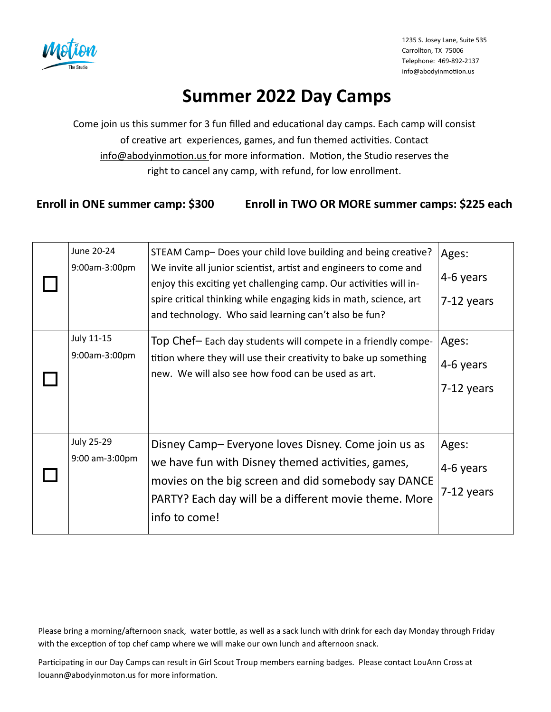

# **Summer 2022 Day Camps**

Come join us this summer for 3 fun filled and educational day camps. Each camp will consist of creative art experiences, games, and fun themed activities. Contact info@abodyinmotion.us for more information. Motion, the Studio reserves the right to cancel any camp, with refund, for low enrollment.

### **Enroll in ONE summer camp: \$300 Enroll in TWO OR MORE summer camps: \$225 each**

| June 20-24<br>9:00am-3:00pm         | STEAM Camp- Does your child love building and being creative?<br>We invite all junior scientist, artist and engineers to come and<br>enjoy this exciting yet challenging camp. Our activities will in-<br>spire critical thinking while engaging kids in math, science, art<br>and technology. Who said learning can't also be fun? | Ages:<br>4-6 years<br>7-12 years |
|-------------------------------------|-------------------------------------------------------------------------------------------------------------------------------------------------------------------------------------------------------------------------------------------------------------------------------------------------------------------------------------|----------------------------------|
| <b>July 11-15</b><br>9:00am-3:00pm  | Top Chef-Each day students will compete in a friendly compe-<br>tition where they will use their creativity to bake up something<br>new. We will also see how food can be used as art.                                                                                                                                              | Ages:<br>4-6 years<br>7-12 years |
| <b>July 25-29</b><br>9:00 am-3:00pm | Disney Camp-Everyone loves Disney. Come join us as<br>we have fun with Disney themed activities, games,<br>movies on the big screen and did somebody say DANCE<br>PARTY? Each day will be a different movie theme. More<br>info to come!                                                                                            | Ages:<br>4-6 years<br>7-12 years |

Please bring a morning/afternoon snack, water bottle, as well as a sack lunch with drink for each day Monday through Friday with the exception of top chef camp where we will make our own lunch and afternoon snack.

Participating in our Day Camps can result in Girl Scout Troup members earning badges. Please contact LouAnn Cross at louann@abodyinmoton.us for more information.